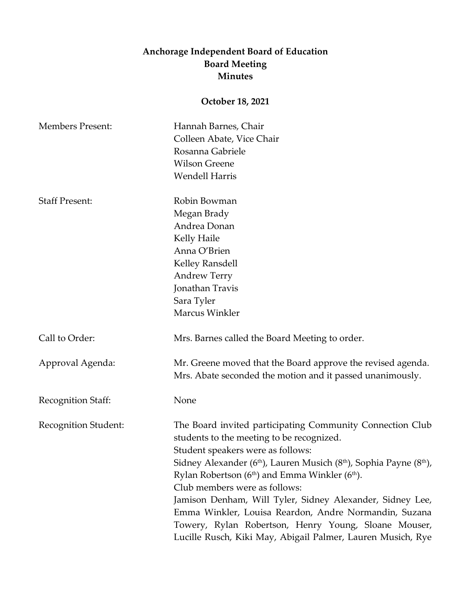## **Anchorage Independent Board of Education Board Meeting Minutes**

## **October 18, 2021**

| <b>Members Present:</b> | Hannah Barnes, Chair<br>Colleen Abate, Vice Chair<br>Rosanna Gabriele<br><b>Wilson Greene</b><br><b>Wendell Harris</b>                                                                                                                                                                                                                                                                                                                                                                                                                                                                                          |
|-------------------------|-----------------------------------------------------------------------------------------------------------------------------------------------------------------------------------------------------------------------------------------------------------------------------------------------------------------------------------------------------------------------------------------------------------------------------------------------------------------------------------------------------------------------------------------------------------------------------------------------------------------|
| <b>Staff Present:</b>   | Robin Bowman<br>Megan Brady<br>Andrea Donan<br>Kelly Haile<br>Anna O'Brien<br>Kelley Ransdell<br><b>Andrew Terry</b><br>Jonathan Travis<br>Sara Tyler<br>Marcus Winkler                                                                                                                                                                                                                                                                                                                                                                                                                                         |
| Call to Order:          | Mrs. Barnes called the Board Meeting to order.                                                                                                                                                                                                                                                                                                                                                                                                                                                                                                                                                                  |
| Approval Agenda:        | Mr. Greene moved that the Board approve the revised agenda.<br>Mrs. Abate seconded the motion and it passed unanimously.                                                                                                                                                                                                                                                                                                                                                                                                                                                                                        |
| Recognition Staff:      | None                                                                                                                                                                                                                                                                                                                                                                                                                                                                                                                                                                                                            |
| Recognition Student:    | The Board invited participating Community Connection Club<br>students to the meeting to be recognized.<br>Student speakers were as follows:<br>Sidney Alexander (6 <sup>th</sup> ), Lauren Musich (8 <sup>th</sup> ), Sophia Payne (8 <sup>th</sup> ),<br>Rylan Robertson (6 <sup>th</sup> ) and Emma Winkler (6 <sup>th</sup> ).<br>Club members were as follows:<br>Jamison Denham, Will Tyler, Sidney Alexander, Sidney Lee,<br>Emma Winkler, Louisa Reardon, Andre Normandin, Suzana<br>Towery, Rylan Robertson, Henry Young, Sloane Mouser,<br>Lucille Rusch, Kiki May, Abigail Palmer, Lauren Musich, Rye |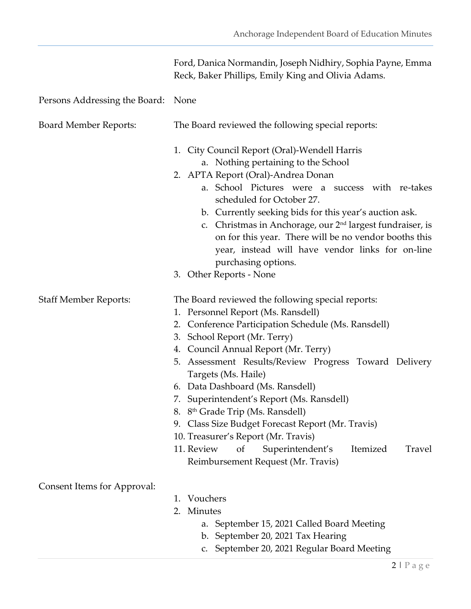|                                    | Ford, Danica Normandin, Joseph Nidhiry, Sophia Payne, Emma<br>Reck, Baker Phillips, Emily King and Olivia Adams.                                                                                                                                                                                                                                                                                                                                                                                                                                                                                                                                 |
|------------------------------------|--------------------------------------------------------------------------------------------------------------------------------------------------------------------------------------------------------------------------------------------------------------------------------------------------------------------------------------------------------------------------------------------------------------------------------------------------------------------------------------------------------------------------------------------------------------------------------------------------------------------------------------------------|
| Persons Addressing the Board: None |                                                                                                                                                                                                                                                                                                                                                                                                                                                                                                                                                                                                                                                  |
| <b>Board Member Reports:</b>       | The Board reviewed the following special reports:                                                                                                                                                                                                                                                                                                                                                                                                                                                                                                                                                                                                |
|                                    | 1. City Council Report (Oral)-Wendell Harris<br>a. Nothing pertaining to the School<br>2. APTA Report (Oral)-Andrea Donan<br>a. School Pictures were a success with re-takes<br>scheduled for October 27.<br>b. Currently seeking bids for this year's auction ask.<br>c. Christmas in Anchorage, our 2 <sup>nd</sup> largest fundraiser, is<br>on for this year. There will be no vendor booths this<br>year, instead will have vendor links for on-line<br>purchasing options.<br>3. Other Reports - None                                                                                                                                      |
| <b>Staff Member Reports:</b>       | The Board reviewed the following special reports:<br>1. Personnel Report (Ms. Ransdell)<br>Conference Participation Schedule (Ms. Ransdell)<br>2.<br>School Report (Mr. Terry)<br>3.<br>4. Council Annual Report (Mr. Terry)<br>5. Assessment Results/Review Progress Toward Delivery<br>Targets (Ms. Haile)<br>6. Data Dashboard (Ms. Ransdell)<br>7. Superintendent's Report (Ms. Ransdell)<br>8. 8 <sup>th</sup> Grade Trip (Ms. Ransdell)<br>Class Size Budget Forecast Report (Mr. Travis)<br>9.<br>10. Treasurer's Report (Mr. Travis)<br>Itemized<br>11. Review<br>of<br>Superintendent's<br>Travel<br>Reimbursement Request (Mr. Travis) |
| Consent Items for Approval:        | Vouchers<br>1.<br>Minutes<br>2.<br>a. September 15, 2021 Called Board Meeting<br>b. September 20, 2021 Tax Hearing<br>c. September 20, 2021 Regular Board Meeting                                                                                                                                                                                                                                                                                                                                                                                                                                                                                |